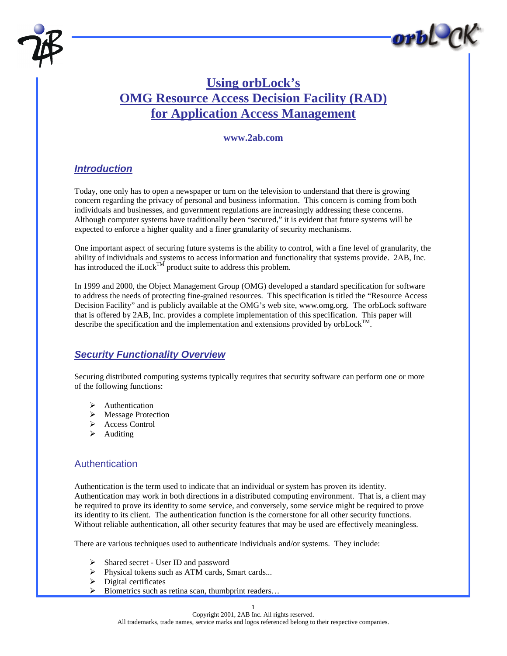



# **Using orbLock's OMG Resource Access Decision Facility (RAD) for Application Access Management**

#### **www.2ab.com**

### *Introduction*

Today, one only has to open a newspaper or turn on the television to understand that there is growing concern regarding the privacy of personal and business information. This concern is coming from both individuals and businesses, and government regulations are increasingly addressing these concerns. Although computer systems have traditionally been "secured," it is evident that future systems will be expected to enforce a higher quality and a finer granularity of security mechanisms.

One important aspect of securing future systems is the ability to control, with a fine level of granularity, the ability of individuals and systems to access information and functionality that systems provide. 2AB, Inc. has introduced the iLock<sup>TM</sup> product suite to address this problem.

In 1999 and 2000, the Object Management Group (OMG) developed a standard specification for software to address the needs of protecting fine-grained resources. This specification is titled the "Resource Access Decision Facility" and is publicly available at the OMG's web site, www.omg.org. The orbLock software that is offered by 2AB, Inc. provides a complete implementation of this specification. This paper will describe the specification and the implementation and extensions provided by orbLock<sup>TM</sup>.

# *Security Functionality Overview*

Securing distributed computing systems typically requires that security software can perform one or more of the following functions:

- **Authentication**
- > Message Protection
- > Access Control
- $\blacktriangleright$  Auditing

### **Authentication**

Authentication is the term used to indicate that an individual or system has proven its identity. Authentication may work in both directions in a distributed computing environment. That is, a client may be required to prove its identity to some service, and conversely, some service might be required to prove its identity to its client. The authentication function is the cornerstone for all other security functions. Without reliable authentication, all other security features that may be used are effectively meaningless.

There are various techniques used to authenticate individuals and/or systems. They include:

- > Shared secret User ID and password
- ! Physical tokens such as ATM cards, Smart cards...
- $\triangleright$  Digital certificates
- ! Biometrics such as retina scan, thumbprint readers…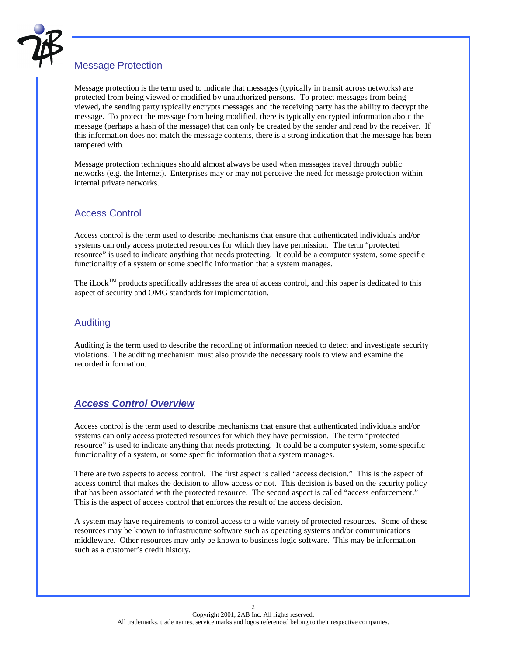

### Message Protection

Message protection is the term used to indicate that messages (typically in transit across networks) are protected from being viewed or modified by unauthorized persons. To protect messages from being viewed, the sending party typically encrypts messages and the receiving party has the ability to decrypt the message. To protect the message from being modified, there is typically encrypted information about the message (perhaps a hash of the message) that can only be created by the sender and read by the receiver. If this information does not match the message contents, there is a strong indication that the message has been tampered with.

Message protection techniques should almost always be used when messages travel through public networks (e.g. the Internet). Enterprises may or may not perceive the need for message protection within internal private networks.

### Access Control

Access control is the term used to describe mechanisms that ensure that authenticated individuals and/or systems can only access protected resources for which they have permission. The term "protected resource" is used to indicate anything that needs protecting. It could be a computer system, some specific functionality of a system or some specific information that a system manages.

The iLock<sup>TM</sup> products specifically addresses the area of access control, and this paper is dedicated to this aspect of security and OMG standards for implementation.

#### Auditing

Auditing is the term used to describe the recording of information needed to detect and investigate security violations. The auditing mechanism must also provide the necessary tools to view and examine the recorded information.

### *Access Control Overview*

Access control is the term used to describe mechanisms that ensure that authenticated individuals and/or systems can only access protected resources for which they have permission. The term "protected resource" is used to indicate anything that needs protecting. It could be a computer system, some specific functionality of a system, or some specific information that a system manages.

There are two aspects to access control. The first aspect is called "access decision." This is the aspect of access control that makes the decision to allow access or not. This decision is based on the security policy that has been associated with the protected resource. The second aspect is called "access enforcement." This is the aspect of access control that enforces the result of the access decision.

A system may have requirements to control access to a wide variety of protected resources. Some of these resources may be known to infrastructure software such as operating systems and/or communications middleware. Other resources may only be known to business logic software. This may be information such as a customer's credit history.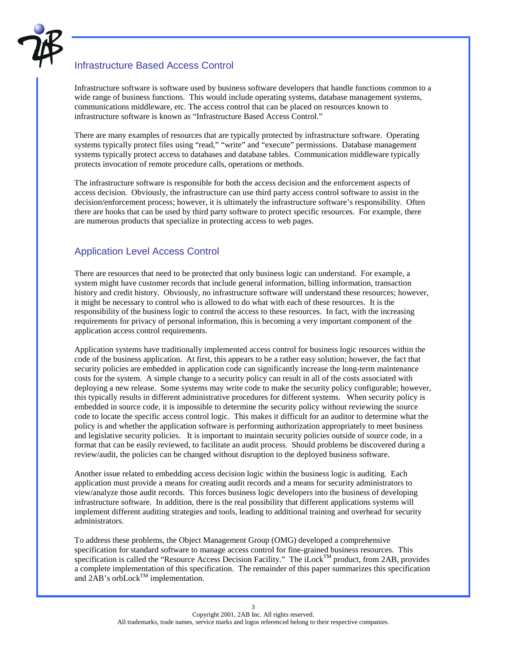

### Infrastructure Based Access Control

Infrastructure software is software used by business software developers that handle functions common to a wide range of business functions. This would include operating systems, database management systems, communications middleware, etc. The access control that can be placed on resources known to infrastructure software is known as "Infrastructure Based Access Control."

There are many examples of resources that are typically protected by infrastructure software. Operating systems typically protect files using "read," "write" and "execute" permissions. Database management systems typically protect access to databases and database tables. Communication middleware typically protects invocation of remote procedure calls, operations or methods.

The infrastructure software is responsible for both the access decision and the enforcement aspects of access decision. Obviously, the infrastructure can use third party access control software to assist in the decision/enforcement process; however, it is ultimately the infrastructure software's responsibility. Often there are hooks that can be used by third party software to protect specific resources. For example, there are numerous products that specialize in protecting access to web pages.

#### Application Level Access Control

There are resources that need to be protected that only business logic can understand. For example, a system might have customer records that include general information, billing information, transaction history and credit history. Obviously, no infrastructure software will understand these resources; however, it might be necessary to control who is allowed to do what with each of these resources. It is the responsibility of the business logic to control the access to these resources. In fact, with the increasing requirements for privacy of personal information, this is becoming a very important component of the application access control requirements.

Application systems have traditionally implemented access control for business logic resources within the code of the business application. At first, this appears to be a rather easy solution; however, the fact that security policies are embedded in application code can significantly increase the long-term maintenance costs for the system. A simple change to a security policy can result in all of the costs associated with deploying a new release. Some systems may write code to make the security policy configurable; however, this typically results in different administrative procedures for different systems. When security policy is embedded in source code, it is impossible to determine the security policy without reviewing the source code to locate the specific access control logic. This makes it difficult for an auditor to determine what the policy is and whether the application software is performing authorization appropriately to meet business and legislative security policies. It is important to maintain security policies outside of source code, in a format that can be easily reviewed, to facilitate an audit process. Should problems be discovered during a review/audit, the policies can be changed without disruption to the deployed business software.

Another issue related to embedding access decision logic within the business logic is auditing. Each application must provide a means for creating audit records and a means for security administrators to view/analyze those audit records. This forces business logic developers into the business of developing infrastructure software. In addition, there is the real possibility that different applications systems will implement different auditing strategies and tools, leading to additional training and overhead for security administrators.

To address these problems, the Object Management Group (OMG) developed a comprehensive specification for standard software to manage access control for fine-grained business resources. This specification is called the "Resource Access Decision Facility." The iLock<sup>TM</sup> product, from 2AB, provides a complete implementation of this specification. The remainder of this paper summarizes this specification and  $2AB$ 's orb $Lock^{TM}$  implementation.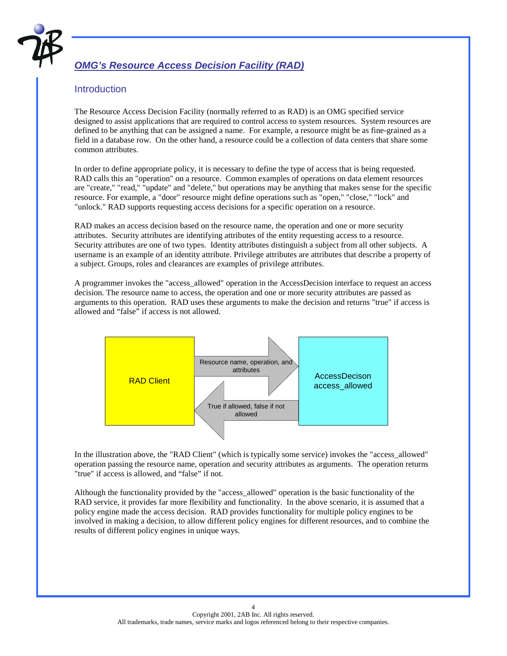

# *OMG's Resource Access Decision Facility (RAD)*

### **Introduction**

The Resource Access Decision Facility (normally referred to as RAD) is an OMG specified service designed to assist applications that are required to control access to system resources. System resources are defined to be anything that can be assigned a name. For example, a resource might be as fine-grained as a field in a database row. On the other hand, a resource could be a collection of data centers that share some common attributes.

In order to define appropriate policy, it is necessary to define the type of access that is being requested. RAD calls this an "operation" on a resource. Common examples of operations on data element resources are "create," "read," "update" and "delete," but operations may be anything that makes sense for the specific resource. For example, a "door" resource might define operations such as "open," "close," "lock" and "unlock." RAD supports requesting access decisions for a specific operation on a resource.

RAD makes an access decision based on the resource name, the operation and one or more security attributes. Security attributes are identifying attributes of the entity requesting access to a resource. Security attributes are one of two types. Identity attributes distinguish a subject from all other subjects. A username is an example of an identity attribute. Privilege attributes are attributes that describe a property of a subject. Groups, roles and clearances are examples of privilege attributes.

A programmer invokes the "access\_allowed" operation in the AccessDecision interface to request an access decision. The resource name to access, the operation and one or more security attributes are passed as arguments to this operation. RAD uses these arguments to make the decision and returns "true" if access is allowed and "false" if access is not allowed.



In the illustration above, the "RAD Client" (which is typically some service) invokes the "access\_allowed" operation passing the resource name, operation and security attributes as arguments. The operation returns "true" if access is allowed, and "false" if not.

Although the functionality provided by the "access\_allowed" operation is the basic functionality of the RAD service, it provides far more flexibility and functionality. In the above scenario, it is assumed that a policy engine made the access decision. RAD provides functionality for multiple policy engines to be involved in making a decision, to allow different policy engines for different resources, and to combine the results of different policy engines in unique ways.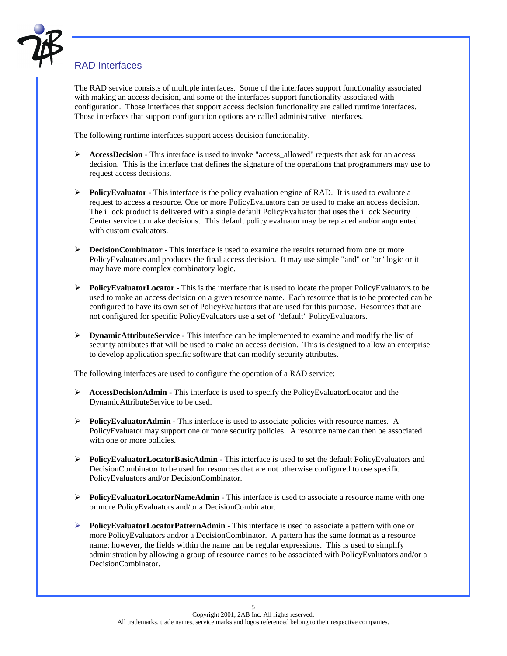

# RAD Interfaces

The RAD service consists of multiple interfaces. Some of the interfaces support functionality associated with making an access decision, and some of the interfaces support functionality associated with configuration. Those interfaces that support access decision functionality are called runtime interfaces. Those interfaces that support configuration options are called administrative interfaces.

The following runtime interfaces support access decision functionality.

- **EXECRISE AccessDecision** This interface is used to invoke "access allowed" requests that ask for an access decision. This is the interface that defines the signature of the operations that programmers may use to request access decisions.
- **Policy Evaluator** This interface is the policy evaluation engine of RAD. It is used to evaluate a request to access a resource. One or more PolicyEvaluators can be used to make an access decision. The iLock product is delivered with a single default PolicyEvaluator that uses the iLock Security Center service to make decisions. This default policy evaluator may be replaced and/or augmented with custom evaluators.
- ! **DecisionCombinator** This interface is used to examine the results returned from one or more PolicyEvaluators and produces the final access decision. It may use simple "and" or "or" logic or it may have more complex combinatory logic.
- ! **PolicyEvaluatorLocator** This is the interface that is used to locate the proper PolicyEvaluators to be used to make an access decision on a given resource name. Each resource that is to be protected can be configured to have its own set of PolicyEvaluators that are used for this purpose. Resources that are not configured for specific PolicyEvaluators use a set of "default" PolicyEvaluators.
- ! **DynamicAttributeService** This interface can be implemented to examine and modify the list of security attributes that will be used to make an access decision. This is designed to allow an enterprise to develop application specific software that can modify security attributes.

The following interfaces are used to configure the operation of a RAD service:

- **AccessDecisionAdmin** This interface is used to specify the PolicyEvaluatorLocator and the DynamicAttributeService to be used.
- **Policy Evaluator Admin** This interface is used to associate policies with resource names. A PolicyEvaluator may support one or more security policies. A resource name can then be associated with one or more policies.
- ! **PolicyEvaluatorLocatorBasicAdmin** This interface is used to set the default PolicyEvaluators and DecisionCombinator to be used for resources that are not otherwise configured to use specific PolicyEvaluators and/or DecisionCombinator.
- **►** PolicyEvaluatorLocatorNameAdmin This interface is used to associate a resource name with one or more PolicyEvaluators and/or a DecisionCombinator.
- **PolicyEvaluatorLocatorPatternAdmin** This interface is used to associate a pattern with one or more PolicyEvaluators and/or a DecisionCombinator. A pattern has the same format as a resource name; however, the fields within the name can be regular expressions. This is used to simplify administration by allowing a group of resource names to be associated with PolicyEvaluators and/or a DecisionCombinator.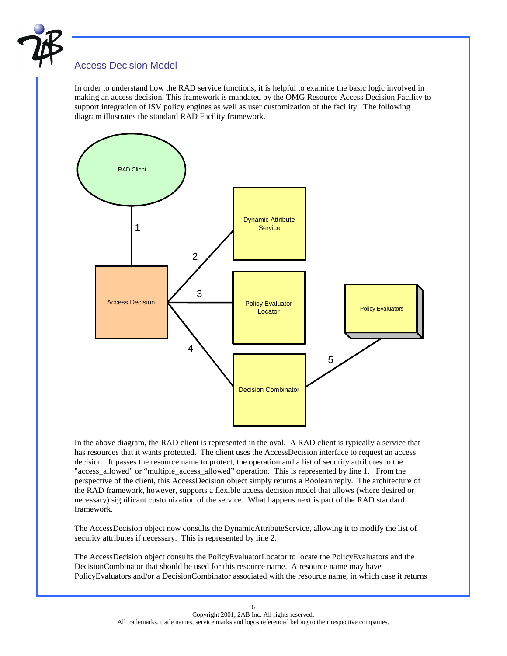

### Access Decision Model

In order to understand how the RAD service functions, it is helpful to examine the basic logic involved in making an access decision. This framework is mandated by the OMG Resource Access Decision Facility to support integration of ISV policy engines as well as user customization of the facility. The following diagram illustrates the standard RAD Facility framework.



In the above diagram, the RAD client is represented in the oval. A RAD client is typically a service that has resources that it wants protected. The client uses the AccessDecision interface to request an access decision. It passes the resource name to protect, the operation and a list of security attributes to the "access\_allowed" or "multiple\_access\_allowed" operation. This is represented by line 1. From the perspective of the client, this AccessDecision object simply returns a Boolean reply. The architecture of the RAD framework, however, supports a flexible access decision model that allows (where desired or necessary) significant customization of the service. What happens next is part of the RAD standard framework.

The AccessDecision object now consults the DynamicAttributeService, allowing it to modify the list of security attributes if necessary. This is represented by line 2.

The AccessDecision object consults the PolicyEvaluatorLocator to locate the PolicyEvaluators and the DecisionCombinator that should be used for this resource name. A resource name may have PolicyEvaluators and/or a DecisionCombinator associated with the resource name, in which case it returns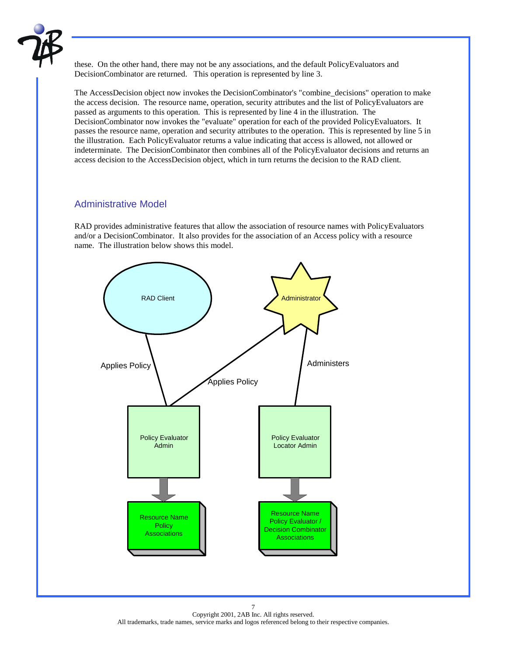

these. On the other hand, there may not be any associations, and the default PolicyEvaluators and DecisionCombinator are returned. This operation is represented by line 3.

The AccessDecision object now invokes the DecisionCombinator's "combine\_decisions" operation to make the access decision. The resource name, operation, security attributes and the list of PolicyEvaluators are passed as arguments to this operation. This is represented by line 4 in the illustration. The DecisionCombinator now invokes the "evaluate" operation for each of the provided PolicyEvaluators. It passes the resource name, operation and security attributes to the operation. This is represented by line 5 in the illustration. Each PolicyEvaluator returns a value indicating that access is allowed, not allowed or indeterminate. The DecisionCombinator then combines all of the PolicyEvaluator decisions and returns an access decision to the AccessDecision object, which in turn returns the decision to the RAD client.

#### Administrative Model

RAD provides administrative features that allow the association of resource names with PolicyEvaluators and/or a DecisionCombinator. It also provides for the association of an Access policy with a resource name. The illustration below shows this model.

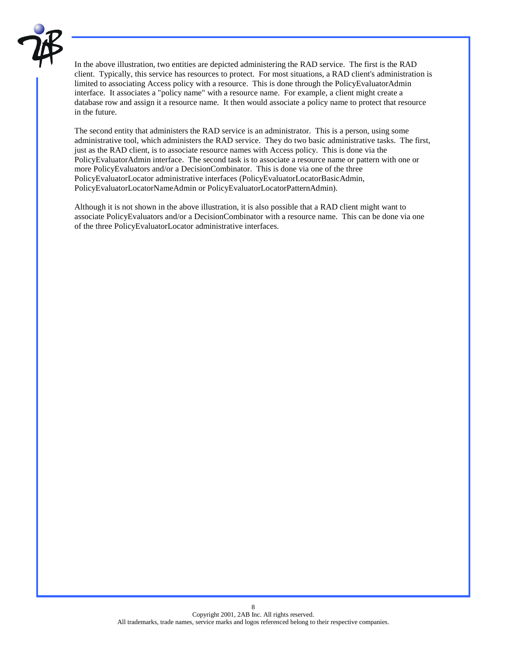

In the above illustration, two entities are depicted administering the RAD service. The first is the RAD client. Typically, this service has resources to protect. For most situations, a RAD client's administration is limited to associating Access policy with a resource. This is done through the PolicyEvaluatorAdmin interface. It associates a "policy name" with a resource name. For example, a client might create a database row and assign it a resource name. It then would associate a policy name to protect that resource in the future.

The second entity that administers the RAD service is an administrator. This is a person, using some administrative tool, which administers the RAD service. They do two basic administrative tasks. The first, just as the RAD client, is to associate resource names with Access policy. This is done via the PolicyEvaluatorAdmin interface. The second task is to associate a resource name or pattern with one or more PolicyEvaluators and/or a DecisionCombinator. This is done via one of the three PolicyEvaluatorLocator administrative interfaces (PolicyEvaluatorLocatorBasicAdmin, PolicyEvaluatorLocatorNameAdmin or PolicyEvaluatorLocatorPatternAdmin).

Although it is not shown in the above illustration, it is also possible that a RAD client might want to associate PolicyEvaluators and/or a DecisionCombinator with a resource name. This can be done via one of the three PolicyEvaluatorLocator administrative interfaces.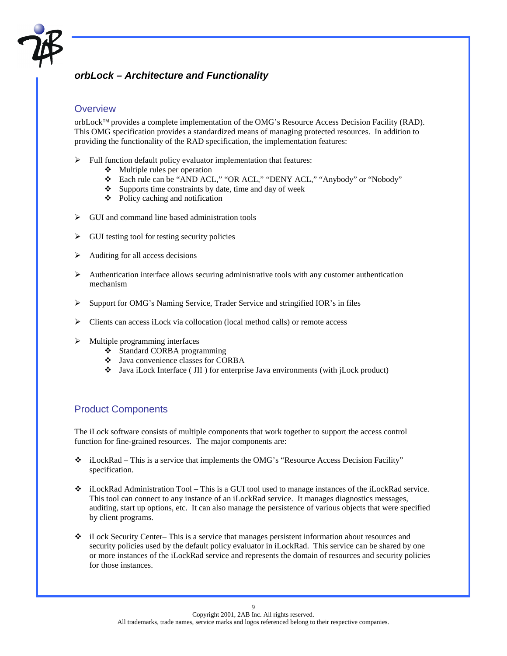

# *orbLock – Architecture and Functionality*

#### **Overview**

orbLock<sup>™</sup> provides a complete implementation of the OMG's Resource Access Decision Facility (RAD). This OMG specification provides a standardized means of managing protected resources. In addition to providing the functionality of the RAD specification, the implementation features:

- $\triangleright$  Full function default policy evaluator implementation that features:
	- $\triangleleft$  Multiple rules per operation
	- \* Each rule can be "AND ACL," "OR ACL," "DENY ACL," "Anybody" or "Nobody"
	- $\bullet$  Supports time constraints by date, time and day of week
	- $\triangle$  Policy caching and notification
- $\triangleright$  GUI and command line based administration tools
- $\triangleright$  GUI testing tool for testing security policies
- $\triangleright$  Auditing for all access decisions
- $\triangleright$  Authentication interface allows securing administrative tools with any customer authentication mechanism
- $\triangleright$  Support for OMG's Naming Service, Trader Service and stringified IOR's in files
- $\triangleright$  Clients can access iLock via collocation (local method calls) or remote access
- $\triangleright$  Multiple programming interfaces
	- # Standard CORBA programming
	- # Java convenience classes for CORBA
	- $\bullet$  Java iLock Interface (JII) for enterprise Java environments (with jLock product)

### Product Components

The iLock software consists of multiple components that work together to support the access control function for fine-grained resources. The major components are:

- \* iLockRad This is a service that implements the OMG's "Resource Access Decision Facility" specification.
- $\bullet$  iLockRad Administration Tool This is a GUI tool used to manage instances of the iLockRad service. This tool can connect to any instance of an iLockRad service. It manages diagnostics messages, auditing, start up options, etc. It can also manage the persistence of various objects that were specified by client programs.
- $\div$  iLock Security Center– This is a service that manages persistent information about resources and security policies used by the default policy evaluator in iLockRad. This service can be shared by one or more instances of the iLockRad service and represents the domain of resources and security policies for those instances.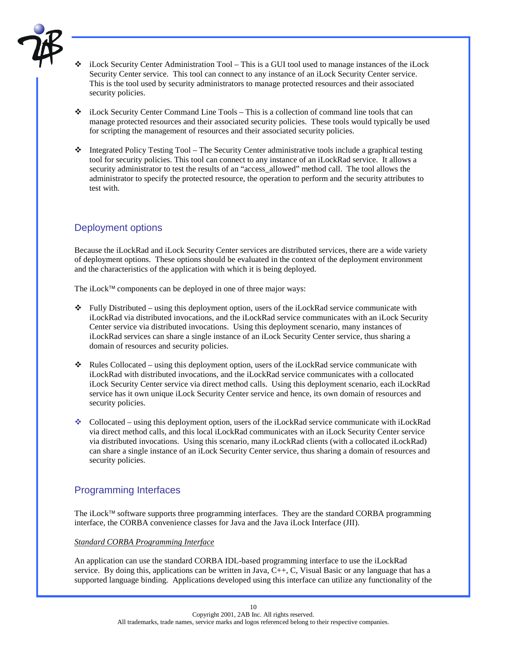

- iLock Security Center Administration Tool This is a GUI tool used to manage instances of the iLock Security Center service. This tool can connect to any instance of an iLock Security Center service. This is the tool used by security administrators to manage protected resources and their associated security policies.
- $\bullet$  iLock Security Center Command Line Tools This is a collection of command line tools that can manage protected resources and their associated security policies. These tools would typically be used for scripting the management of resources and their associated security policies.
- $\bullet$  Integrated Policy Testing Tool The Security Center administrative tools include a graphical testing tool for security policies. This tool can connect to any instance of an iLockRad service. It allows a security administrator to test the results of an "access\_allowed" method call. The tool allows the administrator to specify the protected resource, the operation to perform and the security attributes to test with.

### Deployment options

Because the iLockRad and iLock Security Center services are distributed services, there are a wide variety of deployment options. These options should be evaluated in the context of the deployment environment and the characteristics of the application with which it is being deployed.

The iLock<sup> $\mathsf{TM}$ </sup> components can be deployed in one of three major ways:

- $\bullet$  Fully Distributed using this deployment option, users of the iLockRad service communicate with iLockRad via distributed invocations, and the iLockRad service communicates with an iLock Security Center service via distributed invocations. Using this deployment scenario, many instances of iLockRad services can share a single instance of an iLock Security Center service, thus sharing a domain of resources and security policies.
- $\bullet$  Rules Collocated using this deployment option, users of the iLockRad service communicate with iLockRad with distributed invocations, and the iLockRad service communicates with a collocated iLock Security Center service via direct method calls. Using this deployment scenario, each iLockRad service has it own unique iLock Security Center service and hence, its own domain of resources and security policies.
- $\bullet$  Collocated using this deployment option, users of the iLockRad service communicate with iLockRad via direct method calls, and this local iLockRad communicates with an iLock Security Center service via distributed invocations. Using this scenario, many iLockRad clients (with a collocated iLockRad) can share a single instance of an iLock Security Center service, thus sharing a domain of resources and security policies.

### Programming Interfaces

The iLock<sup> $TM$ </sup> software supports three programming interfaces. They are the standard CORBA programming interface, the CORBA convenience classes for Java and the Java iLock Interface (JII).

#### *Standard CORBA Programming Interface*

An application can use the standard CORBA IDL-based programming interface to use the iLockRad service. By doing this, applications can be written in Java, C++, C, Visual Basic or any language that has a supported language binding. Applications developed using this interface can utilize any functionality of the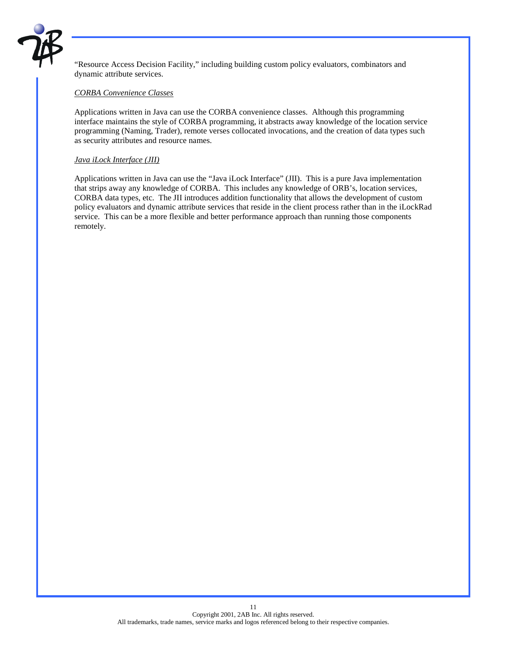

"Resource Access Decision Facility," including building custom policy evaluators, combinators and dynamic attribute services.

#### *CORBA Convenience Classes*

Applications written in Java can use the CORBA convenience classes. Although this programming interface maintains the style of CORBA programming, it abstracts away knowledge of the location service programming (Naming, Trader), remote verses collocated invocations, and the creation of data types such as security attributes and resource names.

#### *Java iLock Interface (JII)*

Applications written in Java can use the "Java iLock Interface" (JII). This is a pure Java implementation that strips away any knowledge of CORBA. This includes any knowledge of ORB's, location services, CORBA data types, etc. The JII introduces addition functionality that allows the development of custom policy evaluators and dynamic attribute services that reside in the client process rather than in the iLockRad service. This can be a more flexible and better performance approach than running those components remotely.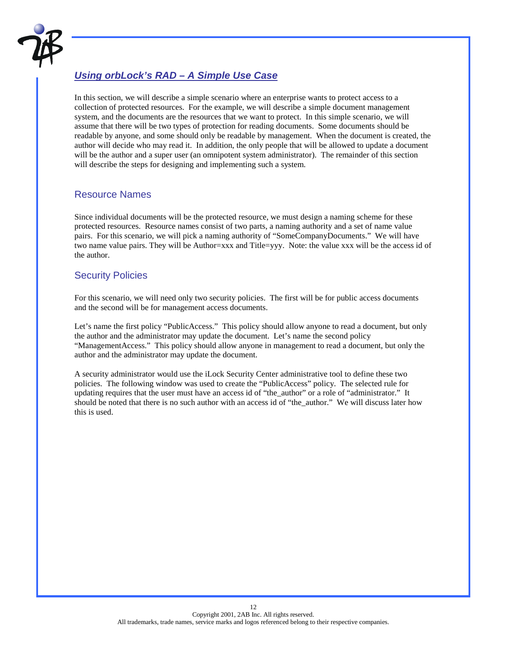

# *Using orbLock's RAD – A Simple Use Case*

In this section, we will describe a simple scenario where an enterprise wants to protect access to a collection of protected resources. For the example, we will describe a simple document management system, and the documents are the resources that we want to protect. In this simple scenario, we will assume that there will be two types of protection for reading documents. Some documents should be readable by anyone, and some should only be readable by management. When the document is created, the author will decide who may read it. In addition, the only people that will be allowed to update a document will be the author and a super user (an omnipotent system administrator). The remainder of this section will describe the steps for designing and implementing such a system.

#### Resource Names

Since individual documents will be the protected resource, we must design a naming scheme for these protected resources. Resource names consist of two parts, a naming authority and a set of name value pairs. For this scenario, we will pick a naming authority of "SomeCompanyDocuments." We will have two name value pairs. They will be Author=xxx and Title=yyy. Note: the value xxx will be the access id of the author.

#### Security Policies

For this scenario, we will need only two security policies. The first will be for public access documents and the second will be for management access documents.

Let's name the first policy "PublicAccess." This policy should allow anyone to read a document, but only the author and the administrator may update the document. Let's name the second policy "ManagementAccess." This policy should allow anyone in management to read a document, but only the author and the administrator may update the document.

A security administrator would use the iLock Security Center administrative tool to define these two policies. The following window was used to create the "PublicAccess" policy. The selected rule for updating requires that the user must have an access id of "the\_author" or a role of "administrator." It should be noted that there is no such author with an access id of "the\_author." We will discuss later how this is used.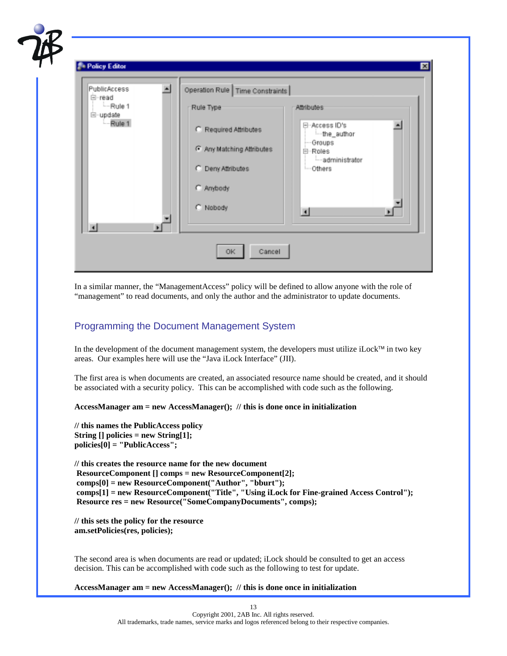| PublicAccess<br>白-read<br>$-Rule 1$<br>白-update<br>Rule 1 | $\blacksquare$<br>$\blacksquare$ | Operation Rule   Time Constraints<br>Rule Type<br>C Required Attributes<br>G Any Matching Attributes<br>C Deny Attributes<br>C Anybody<br>C Nobody | Attributes<br>日-Access ID's<br>-the_author<br>-Groups<br>白-Roles<br>-administrator<br>-Others<br>国 | ᅬ<br>× |
|-----------------------------------------------------------|----------------------------------|----------------------------------------------------------------------------------------------------------------------------------------------------|----------------------------------------------------------------------------------------------------|--------|
|-----------------------------------------------------------|----------------------------------|----------------------------------------------------------------------------------------------------------------------------------------------------|----------------------------------------------------------------------------------------------------|--------|

In a similar manner, the "ManagementAccess" policy will be defined to allow anyone with the role of "management" to read documents, and only the author and the administrator to update documents.

#### Programming the Document Management System

In the development of the document management system, the developers must utilize iLock<sup> $\tau$ M</sup> in two key areas. Our examples here will use the "Java iLock Interface" (JII).

The first area is when documents are created, an associated resource name should be created, and it should be associated with a security policy. This can be accomplished with code such as the following.

**AccessManager am = new AccessManager(); // this is done once in initialization** 

**// this names the PublicAccess policy String [] policies = new String[1]; policies[0] = "PublicAccess";** 

**// this creates the resource name for the new document ResourceComponent [] comps = new ResourceComponent[2]; comps[0] = new ResourceComponent("Author", "bburt"); comps[1] = new ResourceComponent("Title", "Using iLock for Fine-grained Access Control"); Resource res = new Resource("SomeCompanyDocuments", comps);** 

**// this sets the policy for the resource am.setPolicies(res, policies);** 

The second area is when documents are read or updated; iLock should be consulted to get an access decision. This can be accomplished with code such as the following to test for update.

**AccessManager am = new AccessManager(); // this is done once in initialization**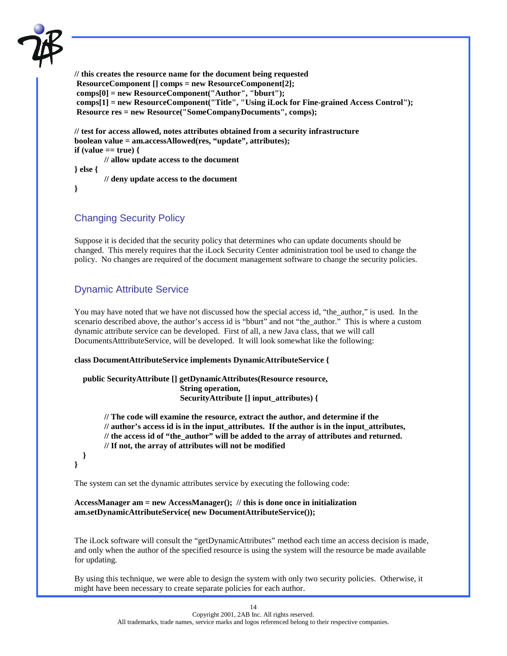

**// this creates the resource name for the document being requested ResourceComponent [] comps = new ResourceComponent[2]; comps[0] = new ResourceComponent("Author", "bburt"); comps[1] = new ResourceComponent("Title", "Using iLock for Fine-grained Access Control"); Resource res = new Resource("SomeCompanyDocuments", comps);** 

**// test for access allowed, notes attributes obtained from a security infrastructure boolean value = am.accessAllowed(res, "update", attributes); if (value == true) { // allow update access to the document** 

**} else {** 

 **// deny update access to the document** 

```
}
```
### Changing Security Policy

Suppose it is decided that the security policy that determines who can update documents should be changed. This merely requires that the iLock Security Center administration tool be used to change the policy. No changes are required of the document management software to change the security policies.

### Dynamic Attribute Service

You may have noted that we have not discussed how the special access id, "the\_author," is used. In the scenario described above, the author's access id is "bburt" and not "the author." This is where a custom dynamic attribute service can be developed. First of all, a new Java class, that we will call DocumentsAtttributeService, will be developed. It will look somewhat like the following:

#### **class DocumentAttributeService implements DynamicAttributeService {**

```
 public SecurityAttribute [] getDynamicAttributes(Resource resource, 
                 String operation, 
                 SecurityAttribute [] input_attributes) {
```
**// The code will examine the resource, extract the author, and determine if the // author's access id is in the input\_attributes. If the author is in the input\_attributes, // the access id of "the\_author" will be added to the array of attributes and returned. // If not, the array of attributes will not be modified** 

 **} }** 

The system can set the dynamic attributes service by executing the following code:

#### **AccessManager am = new AccessManager(); // this is done once in initialization am.setDynamicAttributeService( new DocumentAttributeService());**

The iLock software will consult the "getDynamicAttributes" method each time an access decision is made, and only when the author of the specified resource is using the system will the resource be made available for updating.

By using this technique, we were able to design the system with only two security policies. Otherwise, it might have been necessary to create separate policies for each author.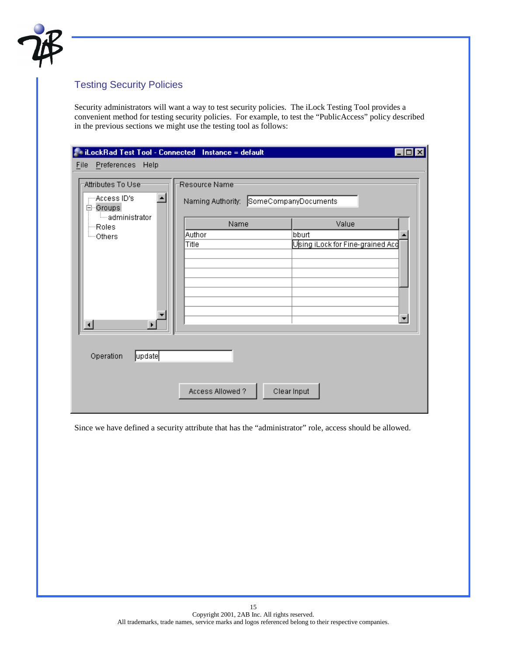

# Testing Security Policies

Security administrators will want a way to test security policies. The iLock Testing Tool provides a convenient method for testing security policies. For example, to test the "PublicAccess" policy described in the previous sections we might use the testing tool as follows:

| Preferences Help<br>Eile<br>Attributes To Use-<br>- Access ID's<br>⊟∽Groups | iLockRad Test Tool - Connected Instance = default<br>Resource Name-<br>Naming Authority: SomeCompanyDocuments |                                                                   |
|-----------------------------------------------------------------------------|---------------------------------------------------------------------------------------------------------------|-------------------------------------------------------------------|
| ⊟—administrator<br>—Roles<br><sup>i</sup> —Others                           | Name<br>Author<br>bburt<br>Title                                                                              | Value<br>Using iLock for Fine-grained Acc<br>$\blacktriangledown$ |
| update<br>Operation                                                         | Access Allowed?<br>Clear Input                                                                                |                                                                   |

Since we have defined a security attribute that has the "administrator" role, access should be allowed.